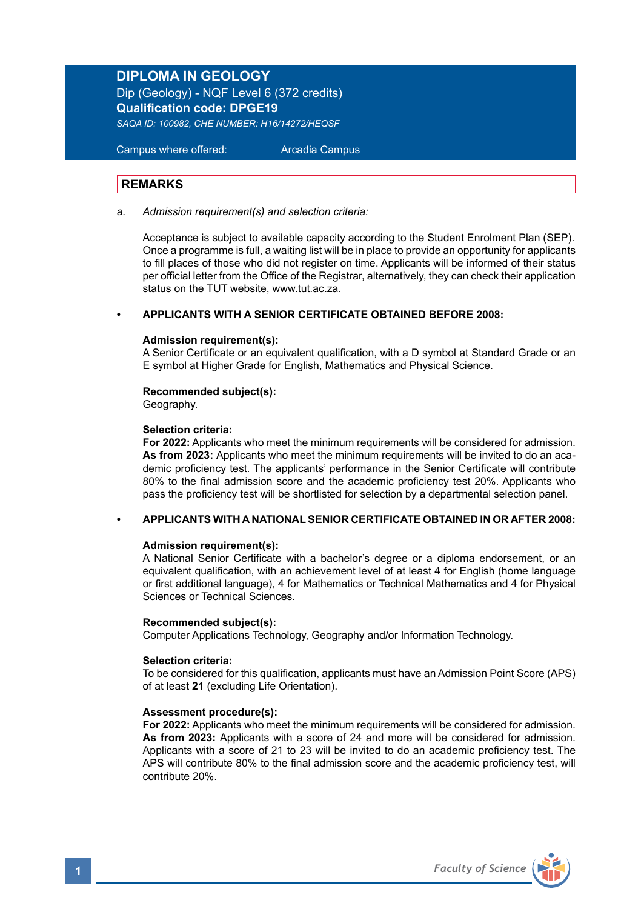# **DIPLOMA IN GEOLOGY**

Dip (Geology) - NQF Level 6 (372 credits) **Qualification code: DPGE19** *SAQA ID: 100982, CHE NUMBER: H16/14272/HEQSF*

 Campus where offered: Arcadia Campus

### **REMARKS**

*a. Admission requirement(s) and selection criteria:* 

 Acceptance is subject to available capacity according to the Student Enrolment Plan (SEP). Once a programme is full, a waiting list will be in place to provide an opportunity for applicants to fill places of those who did not register on time. Applicants will be informed of their status per official letter from the Office of the Registrar, alternatively, they can check their application .<br>status on the TUT website, www.tut.ac.za.

# **• APPLICANTS WITH A SENIOR CERTIFICATE OBTAINED BEFORE 2008:**

### **Admission requirement(s):**

A Senior Certificate or an equivalent qualification, with a D symbol at Standard Grade or an E symbol at Higher Grade for English, Mathematics and Physical Science.

**Recommended subject(s):** Geography.

### **Selection criteria:**

**For 2022:** Applicants who meet the minimum requirements will be considered for admission. **As from 2023:** Applicants who meet the minimum requirements will be invited to do an academic proficiency test. The applicants' performance in the Senior Certificate will contribute 80% to the final admission score and the academic proficiency test 20%. Applicants who pass the proficiency test will be shortlisted for selection by a departmental selection panel.

### **• APPLICANTS WITH A NATIONAL SENIOR CERTIFICATE OBTAINED IN OR AFTER 2008:**

### **Admission requirement(s):**

A National Senior Certificate with a bachelor's degree or a diploma endorsement, or an equivalent qualification, with an achievement level of at least 4 for English (home language or first additional language), 4 for Mathematics or Technical Mathematics and 4 for Physical Sciences or Technical Sciences.

# **Recommended subject(s):**

Computer Applications Technology, Geography and/or Information Technology.

### **Selection criteria:**

To be considered for this qualification, applicants must have an Admission Point Score (APS) of at least **21** (excluding Life Orientation).

### **Assessment procedure(s):**

 **For 2022:** Applicants who meet the minimum requirements will be considered for admission. **As from 2023:** Applicants with a score of 24 and more will be considered for admission. Applicants with a score of 21 to 23 will be invited to do an academic proficiency test. The APS will contribute 80% to the final admission score and the academic proficiency test, will contribute 20%.

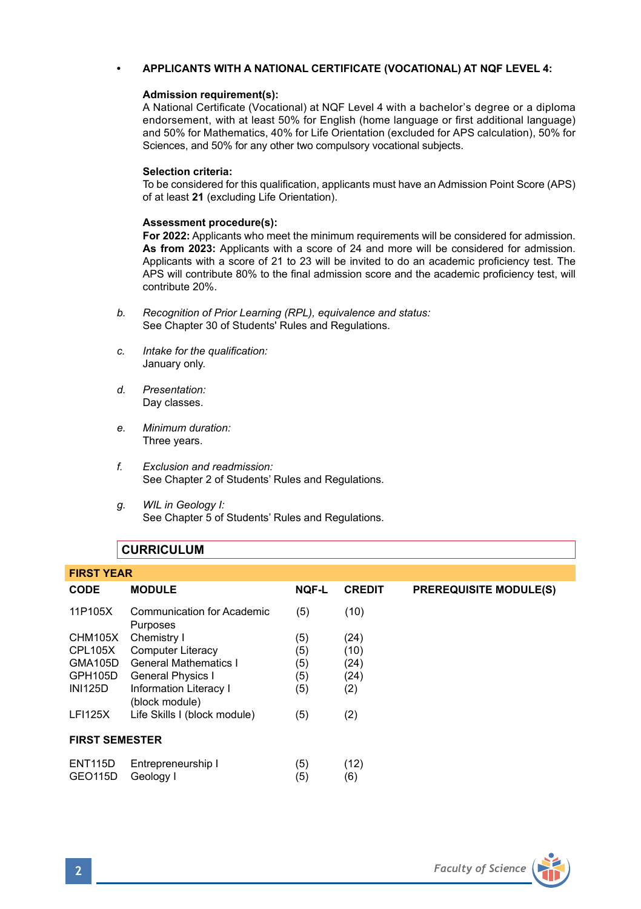### **• APPLICANTS WITH A NATIONAL CERTIFICATE (VOCATIONAL) AT NQF LEVEL 4:**

### **Admission requirement(s):**

A National Certificate (Vocational) at NQF Level 4 with a bachelor's degree or a diploma endorsement, with at least 50% for English (home language or first additional language) and 50% for Mathematics, 40% for Life Orientation (excluded for APS calculation), 50% for Sciences, and 50% for any other two compulsory vocational subjects.

### **Selection criteria:**

To be considered for this qualification, applicants must have an Admission Point Score (APS) of at least **21** (excluding Life Orientation).

### **Assessment procedure(s):**

 **For 2022:** Applicants who meet the minimum requirements will be considered for admission. **As from 2023:** Applicants with a score of 24 and more will be considered for admission. Applicants with a score of 21 to 23 will be invited to do an academic proficiency test. The APS will contribute 80% to the final admission score and the academic proficiency test, will contribute 20%.

- *b. Recognition of Prior Learning (RPL), equivalence and status:* See Chapter 30 of Students' Rules and Regulations.
- *c. Intake for the qualification:* January only.
- *d. Presentation:* Day classes.
- *e. Minimum duration:* Three years.
- *f. Exclusion and readmission:* See Chapter 2 of Students' Rules and Regulations.
- *g. WIL in Geology I:* See Chapter 5 of Students' Rules and Regulations.

# **CURRICULUM**

| <b>FIRST YEAR</b>                      |                                          |              |               |                               |  |
|----------------------------------------|------------------------------------------|--------------|---------------|-------------------------------|--|
| <b>CODE</b>                            | <b>MODULE</b>                            | <b>NOF-L</b> | <b>CREDIT</b> | <b>PREREQUISITE MODULE(S)</b> |  |
| 11P105X                                | Communication for Academic<br>Purposes   | (5)          | (10)          |                               |  |
| CHM105X                                | Chemistry I                              | (5)          | (24)          |                               |  |
| CPL105X                                | <b>Computer Literacy</b>                 | (5)          | (10)          |                               |  |
| <b>GMA105D</b>                         | <b>General Mathematics I</b>             | (5)          | (24)          |                               |  |
| GPH105D                                | <b>General Physics I</b>                 | (5)          | (24)          |                               |  |
| <b>INI125D</b>                         | Information Literacy I<br>(block module) | (5)          | (2)           |                               |  |
| <b>LFI125X</b>                         | Life Skills I (block module)             | (5)          | (2)           |                               |  |
| <b>FIRST SEMESTER</b>                  |                                          |              |               |                               |  |
| <b>ENT115D</b><br>GEO <sub>115</sub> D | Entrepreneurship I<br>Geology I          | (5)<br>(5)   | (12)<br>(6)   |                               |  |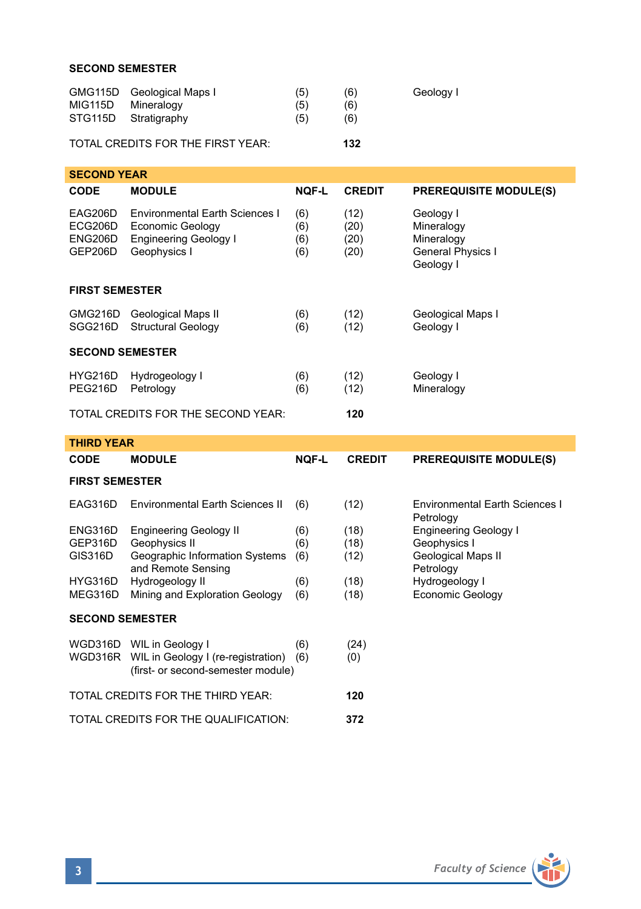# **SECOND SEMESTER**

| GMG115D Geological Maps I<br>MIG115D Mineralogy<br>STG115D Stratigraphy | (5)<br>(5)<br>(5) | (6)<br>(6)<br>(6) | Geology I |
|-------------------------------------------------------------------------|-------------------|-------------------|-----------|
|                                                                         |                   |                   |           |

# TOTAL CREDITS FOR THE FIRST YEAR: **132**

| <b>SECOND YEAR</b>                        |                                                                                                           |                          |                              |                                                                         |  |  |
|-------------------------------------------|-----------------------------------------------------------------------------------------------------------|--------------------------|------------------------------|-------------------------------------------------------------------------|--|--|
| <b>CODE</b>                               | <b>MODULE</b>                                                                                             | <b>NOF-L</b>             | <b>CREDIT</b>                | <b>PREREQUISITE MODULE(S)</b>                                           |  |  |
| EAG206D<br>ECG206D<br>ENG206D<br>GEP206D  | <b>Environmental Farth Sciences I</b><br>Economic Geology<br><b>Engineering Geology I</b><br>Geophysics I | (6)<br>(6)<br>(6)<br>(6) | (12)<br>(20)<br>(20)<br>(20) | Geology I<br>Mineralogy<br>Mineralogy<br>General Physics I<br>Geology I |  |  |
| <b>FIRST SEMESTER</b>                     |                                                                                                           |                          |                              |                                                                         |  |  |
| GMG216D<br>SGG216D                        | Geological Maps II<br><b>Structural Geology</b>                                                           | (6)<br>(6)               | (12)<br>(12)                 | Geological Maps I<br>Geology I                                          |  |  |
| <b>SECOND SEMESTER</b>                    |                                                                                                           |                          |                              |                                                                         |  |  |
| <b>HYG216D</b><br>PEG216D                 | Hydrogeology I<br>Petrology                                                                               | (6)<br>(6)               | (12)<br>(12)                 | Geology I<br>Mineralogy                                                 |  |  |
| TOTAL CREDITS FOR THE SECOND YEAR:<br>120 |                                                                                                           |                          |                              |                                                                         |  |  |

| <b>THIRD YEAR</b>                           |                                                                          |       |               |                                             |  |  |
|---------------------------------------------|--------------------------------------------------------------------------|-------|---------------|---------------------------------------------|--|--|
| <b>CODE</b>                                 | <b>MODULE</b>                                                            | NOF-L | <b>CREDIT</b> | <b>PREREQUISITE MODULE(S)</b>               |  |  |
| <b>FIRST SEMESTER</b>                       |                                                                          |       |               |                                             |  |  |
| EAG316D                                     | <b>Environmental Earth Sciences II</b>                                   | (6)   | (12)          | Environmental Earth Sciences I<br>Petrology |  |  |
| ENG316D                                     | <b>Engineering Geology II</b>                                            | (6)   | (18)          | <b>Engineering Geology I</b>                |  |  |
| GEP316D                                     | Geophysics II                                                            | (6)   | (18)          | Geophysics I                                |  |  |
| GIS316D                                     | Geographic Information Systems<br>and Remote Sensing                     | (6)   | (12)          | Geological Maps II<br>Petrology             |  |  |
| HYG316D                                     | Hydrogeology II                                                          | (6)   | (18)          | Hydrogeology I                              |  |  |
| MEG316D                                     | Mining and Exploration Geology                                           | (6)   | (18)          | Economic Geology                            |  |  |
| <b>SECOND SEMESTER</b>                      |                                                                          |       |               |                                             |  |  |
| WGD316D                                     | WIL in Geology I                                                         | (6)   | (24)          |                                             |  |  |
| WGD316R                                     | WIL in Geology I (re-registration)<br>(first- or second-semester module) | (6)   | (0)           |                                             |  |  |
|                                             | TOTAL CREDITS FOR THE THIRD YEAR:                                        |       | 120           |                                             |  |  |
| TOTAL CREDITS FOR THE QUALIFICATION:<br>372 |                                                                          |       |               |                                             |  |  |

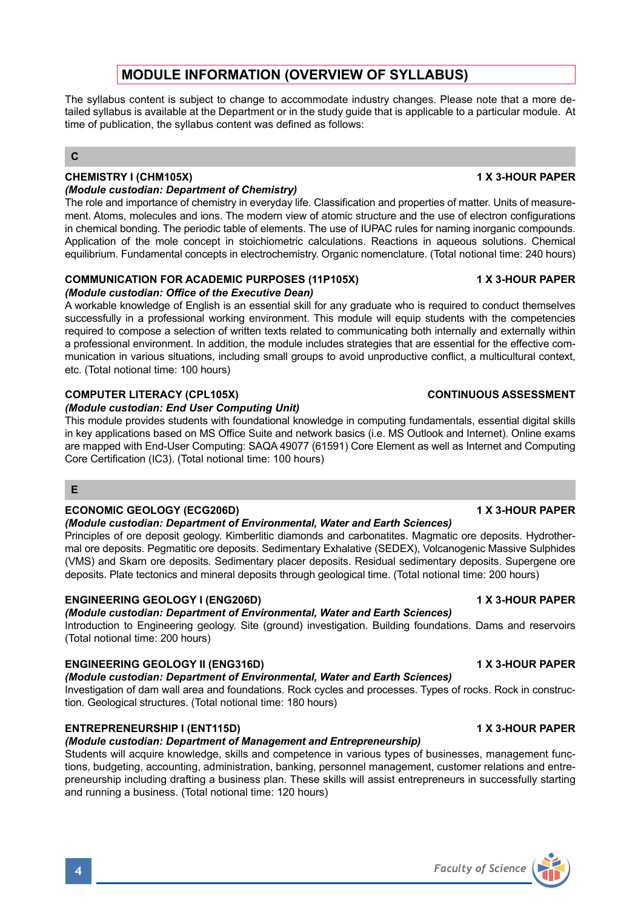# **MODULE INFORMATION (OVERVIEW OF SYLLABUS)**

The syllabus content is subject to change to accommodate industry changes. Please note that a more detailed syllabus is available at the Department or in the study guide that is applicable to a particular module. At time of publication, the syllabus content was defined as follows:

# **C**

# **CHEMISTRY I (CHM105X) 1 X 3-HOUR PAPER**

### *(Module custodian: Department of Chemistry)*

The role and importance of chemistry in everyday life. Classification and properties of matter. Units of measurement. Atoms, molecules and ions. The modern view of atomic structure and the use of electron configurations in chemical bonding. The periodic table of elements. The use of IUPAC rules for naming inorganic compounds. Application of the mole concept in stoichiometric calculations. Reactions in aqueous solutions. Chemical equilibrium. Fundamental concepts in electrochemistry. Organic nomenclature. (Total notional time: 240 hours)

### **COMMUNICATION FOR ACADEMIC PURPOSES (11P105X) 1 X 3-HOUR PAPER** *(Module custodian: Office of the Executive Dean)*

A workable knowledge of English is an essential skill for any graduate who is required to conduct themselves successfully in a professional working environment. This module will equip students with the competencies required to compose a selection of written texts related to communicating both internally and externally within a professional environment. In addition, the module includes strategies that are essential for the effective communication in various situations, including small groups to avoid unproductive conflict, a multicultural context, etc. (Total notional time: 100 hours)

# **COMPUTER LITERACY (CPL105X)** COMPUTER LITERACY (CPL105X)

# *(Module custodian: End User Computing Unit)*

This module provides students with foundational knowledge in computing fundamentals, essential digital skills in key applications based on MS Office Suite and network basics (i.e. MS Outlook and Internet). Online exams are mapped with End-User Computing: SAQA 49077 (61591) Core Element as well as Internet and Computing Core Certification (IC3). (Total notional time: 100 hours)

### **E**

# **ECONOMIC GEOLOGY (ECG206D) 1 X 3-HOUR PAPER**

### *(Module custodian: Department of Environmental, Water and Earth Sciences)*

Principles of ore deposit geology. Kimberlitic diamonds and carbonatites. Magmatic ore deposits. Hydrothermal ore deposits. Pegmatitic ore deposits. Sedimentary Exhalative (SEDEX), Volcanogenic Massive Sulphides (VMS) and Skarn ore deposits. Sedimentary placer deposits. Residual sedimentary deposits. Supergene ore deposits. Plate tectonics and mineral deposits through geological time. (Total notional time: 200 hours)

### **ENGINEERING GEOLOGY I (ENG206D) 1 X 3-HOUR PAPER**

### *(Module custodian: Department of Environmental, Water and Earth Sciences)*

Introduction to Engineering geology. Site (ground) investigation. Building foundations. Dams and reservoirs (Total notional time: 200 hours)

# **ENGINEERING GEOLOGY II (ENG316D) 1 X 3-HOUR PAPER**

### *(Module custodian: Department of Environmental, Water and Earth Sciences)*

Investigation of dam wall area and foundations. Rock cycles and processes. Types of rocks. Rock in construction. Geological structures. (Total notional time: 180 hours)

# **ENTREPRENEURSHIP I (ENT115D) 1 X 3-HOUR PAPER**

### *(Module custodian: Department of Management and Entrepreneurship)*

Students will acquire knowledge, skills and competence in various types of businesses, management functions, budgeting, accounting, administration, banking, personnel management, customer relations and entrepreneurship including drafting a business plan. These skills will assist entrepreneurs in successfully starting and running a business. (Total notional time: 120 hours)

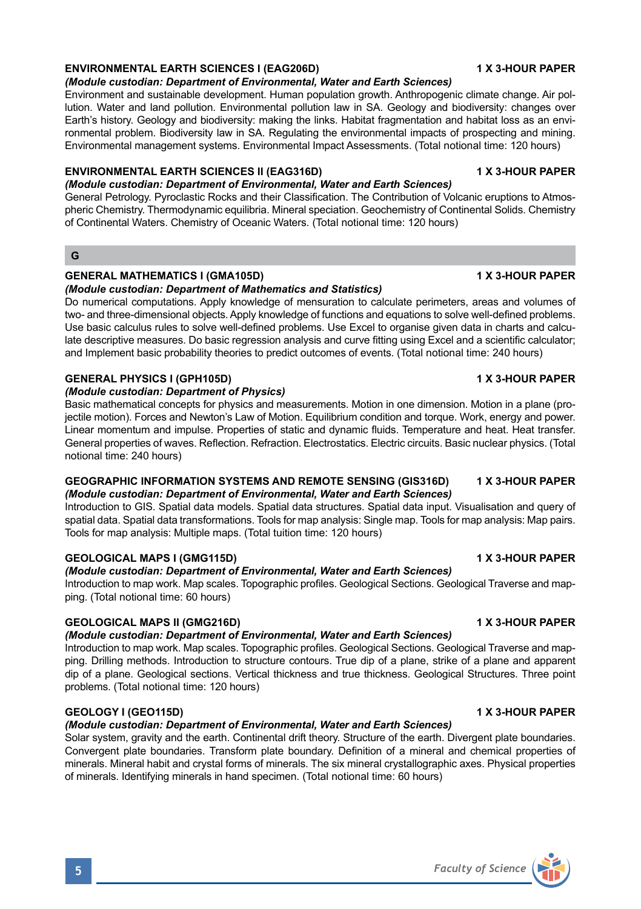# **ENVIRONMENTAL EARTH SCIENCES I (EAG206D) 1 X 3-HOUR PAPER**

### *(Module custodian: Department of Environmental, Water and Earth Sciences)*

Environment and sustainable development. Human population growth. Anthropogenic climate change. Air pollution. Water and land pollution. Environmental pollution law in SA. Geology and biodiversity: changes over Earth's history. Geology and biodiversity: making the links. Habitat fragmentation and habitat loss as an environmental problem. Biodiversity law in SA. Regulating the environmental impacts of prospecting and mining. Environmental management systems. Environmental Impact Assessments. (Total notional time: 120 hours)

# **ENVIRONMENTAL EARTH SCIENCES II (EAG316D) 1 X 3-HOUR PAPER**

*(Module custodian: Department of Environmental, Water and Earth Sciences)* General Petrology. Pyroclastic Rocks and their Classification. The Contribution of Volcanic eruptions to Atmospheric Chemistry. Thermodynamic equilibria. Mineral speciation. Geochemistry of Continental Solids. Chemistry of Continental Waters. Chemistry of Oceanic Waters. (Total notional time: 120 hours)

### **G**

### **GENERAL MATHEMATICS I (GMA105D) 1 X 3-HOUR PAPER**

### *(Module custodian: Department of Mathematics and Statistics)*

Do numerical computations. Apply knowledge of mensuration to calculate perimeters, areas and volumes of two- and three-dimensional objects. Apply knowledge of functions and equations to solve well-defined problems. Use basic calculus rules to solve well-defined problems. Use Excel to organise given data in charts and calculate descriptive measures. Do basic regression analysis and curve fitting using Excel and a scientific calculator; and Implement basic probability theories to predict outcomes of events. (Total notional time: 240 hours)

### **GENERAL PHYSICS I (GPH105D) 1 X 3-HOUR PAPER**

### *(Module custodian: Department of Physics)*

Basic mathematical concepts for physics and measurements. Motion in one dimension. Motion in a plane (projectile motion). Forces and Newton's Law of Motion. Equilibrium condition and torque. Work, energy and power. Linear momentum and impulse. Properties of static and dynamic fluids. Temperature and heat. Heat transfer. General properties of waves. Reflection. Refraction. Electrostatics. Electric circuits. Basic nuclear physics. (Total notional time: 240 hours)

### **GEOGRAPHIC INFORMATION SYSTEMS AND REMOTE SENSING (GIS316D) 1 X 3-HOUR PAPER** *(Module custodian: Department of Environmental, Water and Earth Sciences)*

Introduction to GIS. Spatial data models. Spatial data structures. Spatial data input. Visualisation and query of spatial data. Spatial data transformations. Tools for map analysis: Single map. Tools for map analysis: Map pairs. Tools for map analysis: Multiple maps. (Total tuition time: 120 hours)

# GEOLOGICAL MAPS I (GMG115D) **1 ACCULOGICAL MAPS I (GMG115D)** 1 X 3-HOUR PAPER

### *(Module custodian: Department of Environmental, Water and Earth Sciences)*

Introduction to map work. Map scales. Topographic profiles. Geological Sections. Geological Traverse and mapping. (Total notional time: 60 hours)

### **GEOLOGICAL MAPS II (GMG216D) 1 X 3-HOUR PAPER**

### *(Module custodian: Department of Environmental, Water and Earth Sciences)*

Introduction to map work. Map scales. Topographic profiles. Geological Sections. Geological Traverse and mapping. Drilling methods. Introduction to structure contours. True dip of a plane, strike of a plane and apparent dip of a plane. Geological sections. Vertical thickness and true thickness. Geological Structures. Three point problems. (Total notional time: 120 hours)

### **GEOLOGY I (GEO115D) 1 X 3-HOUR PAPER**

## *(Module custodian: Department of Environmental, Water and Earth Sciences)*

Solar system, gravity and the earth. Continental drift theory. Structure of the earth. Divergent plate boundaries. Convergent plate boundaries. Transform plate boundary. Definition of a mineral and chemical properties of minerals. Mineral habit and crystal forms of minerals. The six mineral crystallographic axes. Physical properties of minerals. Identifying minerals in hand specimen. (Total notional time: 60 hours)



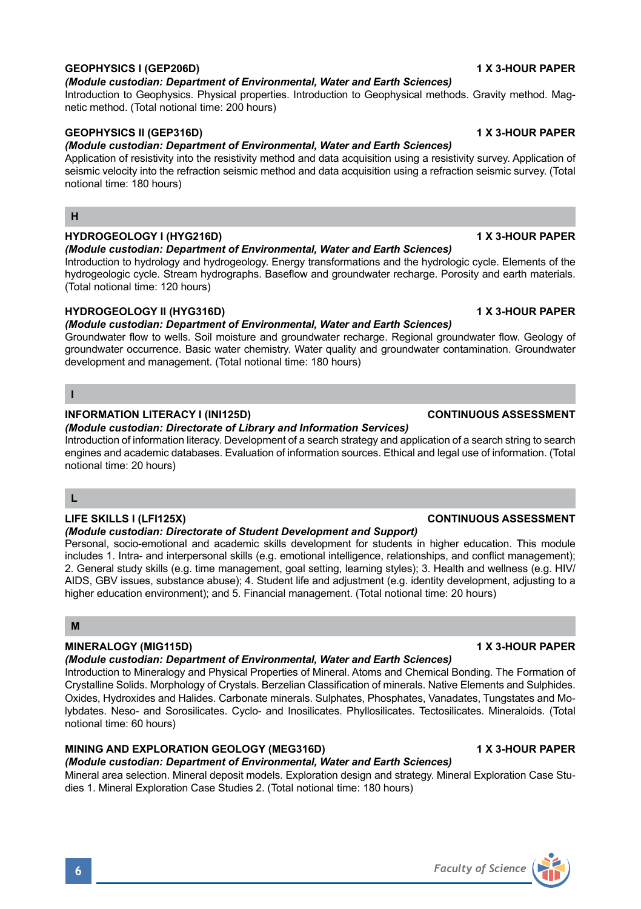# **GEOPHYSICS I (GEP206D) 1 X 3-HOUR PAPER**

### *(Module custodian: Department of Environmental, Water and Earth Sciences)*

Introduction to Geophysics. Physical properties. Introduction to Geophysical methods. Gravity method. Magnetic method. (Total notional time: 200 hours)

# **GEOPHYSICS II (GEP316D)** 1 X 3-HOUR PAPER

# *(Module custodian: Department of Environmental, Water and Earth Sciences)*

Application of resistivity into the resistivity method and data acquisition using a resistivity survey. Application of seismic velocity into the refraction seismic method and data acquisition using a refraction seismic survey. (Total notional time: 180 hours)

# **H**

# **HYDROGEOLOGY I (HYG216D)** 1 X 3-HOUR PAPER

### *(Module custodian: Department of Environmental, Water and Earth Sciences)*

Introduction to hydrology and hydrogeology. Energy transformations and the hydrologic cycle. Elements of the hydrogeologic cycle. Stream hydrographs. Baseflow and groundwater recharge. Porosity and earth materials. (Total notional time: 120 hours)

# **HYDROGEOLOGY II (HYG316D) 1 X 3-HOUR PAPER**

# *(Module custodian: Department of Environmental, Water and Earth Sciences)*

Groundwater flow to wells. Soil moisture and groundwater recharge. Regional groundwater flow. Geology of groundwater occurrence. Basic water chemistry. Water quality and groundwater contamination. Groundwater development and management. (Total notional time: 180 hours)

# **I**

# **INFORMATION LITERACY I (INI125D) CONTINUOUS ASSESSMENT**

### *(Module custodian: Directorate of Library and Information Services)* Introduction of information literacy. Development of a search strategy and application of a search string to search engines and academic databases. Evaluation of information sources. Ethical and legal use of information. (Total notional time: 20 hours)

# **L**

### **LIFE SKILLS I (LFI125X) CONTINUOUS ASSESSMENT**

# *(Module custodian: Directorate of Student Development and Support)*

Personal, socio-emotional and academic skills development for students in higher education. This module includes 1. Intra- and interpersonal skills (e.g. emotional intelligence, relationships, and conflict management); 2. General study skills (e.g. time management, goal setting, learning styles); 3. Health and wellness (e.g. HIV/ AIDS, GBV issues, substance abuse); 4. Student life and adjustment (e.g. identity development, adjusting to a higher education environment); and 5. Financial management. (Total notional time: 20 hours)

# **M**

# **MINERALOGY (MIG115D) 1 X 3-HOUR PAPER**

### *(Module custodian: Department of Environmental, Water and Earth Sciences)*

Introduction to Mineralogy and Physical Properties of Mineral. Atoms and Chemical Bonding. The Formation of Crystalline Solids. Morphology of Crystals. Berzelian Classification of minerals. Native Elements and Sulphides. Oxides, Hydroxides and Halides. Carbonate minerals. Sulphates, Phosphates, Vanadates, Tungstates and Molybdates. Neso- and Sorosilicates. Cyclo- and Inosilicates. Phyllosilicates. Tectosilicates. Mineraloids. (Total notional time: 60 hours)

# **MINING AND EXPLORATION GEOLOGY (MEG316D) 4 X 3-HOUR PAPER**

# *(Module custodian: Department of Environmental, Water and Earth Sciences)*

Mineral area selection. Mineral deposit models. Exploration design and strategy. Mineral Exploration Case Studies 1. Mineral Exploration Case Studies 2. (Total notional time: 180 hours)